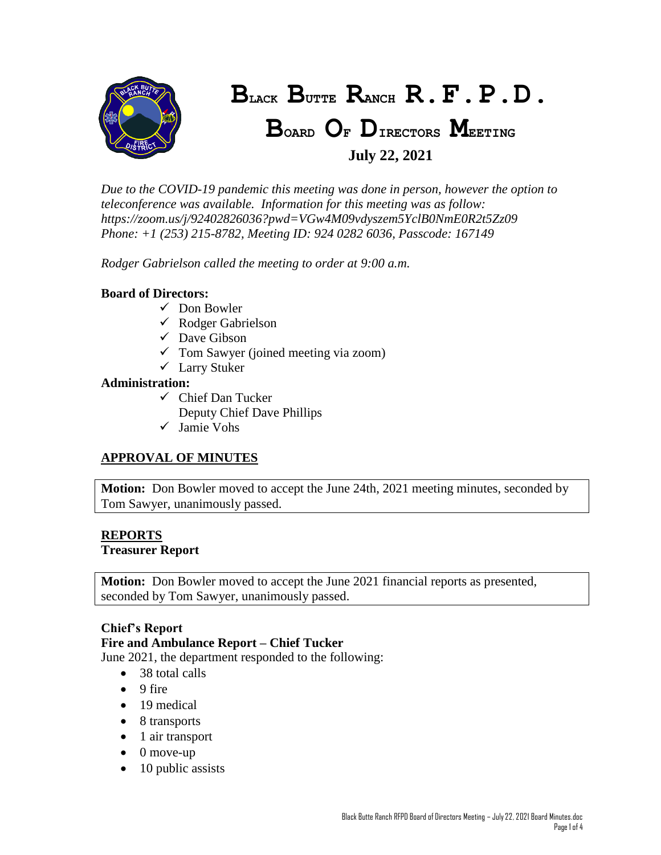

# **BLACK BUTTE RANCH R.F.P.D.**

# **BOARD O<sup>F</sup> DIRECTORS MEETING July 22, 2021**

*Due to the COVID-19 pandemic this meeting was done in person, however the option to teleconference was available. Information for this meeting was as follow: https://zoom.us/j/92402826036?pwd=VGw4M09vdyszem5YclB0NmE0R2t5Zz09 Phone: +1 (253) 215-8782, Meeting ID: 924 0282 6036, Passcode: 167149*

*Rodger Gabrielson called the meeting to order at 9:00 a.m.*

### **Board of Directors:**

- $\checkmark$  Don Bowler
- $\checkmark$  Rodger Gabrielson
- $\checkmark$  Dave Gibson
- $\checkmark$  Tom Sawyer (joined meeting via zoom)
- Larry Stuker

### **Administration:**

- $\checkmark$  Chief Dan Tucker
	- Deputy Chief Dave Phillips
- Jamie Vohs

# **APPROVAL OF MINUTES**

**Motion:** Don Bowler moved to accept the June 24th, 2021 meeting minutes, seconded by Tom Sawyer, unanimously passed.

# **REPORTS**

#### **Treasurer Report**

**Motion:** Don Bowler moved to accept the June 2021 financial reports as presented, seconded by Tom Sawyer, unanimously passed.

#### **Chief's Report**

#### **Fire and Ambulance Report – Chief Tucker**

June 2021, the department responded to the following:

- 38 total calls
- $\bullet$  9 fire
- 19 medical
- 8 transports
- $\bullet$  1 air transport
- $\bullet$  0 move-up
- $\bullet$  10 public assists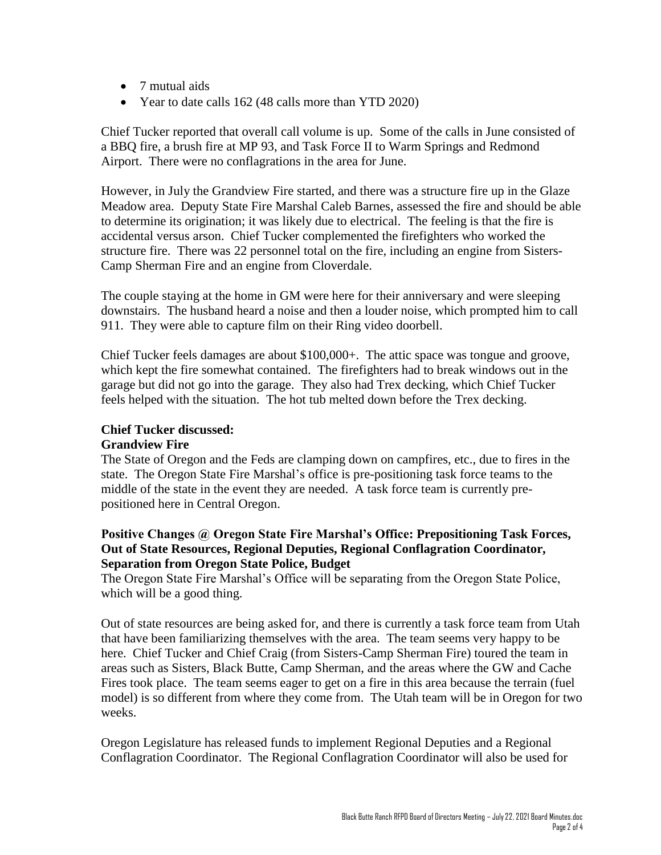- 7 mutual aids
- Year to date calls 162 (48 calls more than YTD 2020)

Chief Tucker reported that overall call volume is up. Some of the calls in June consisted of a BBQ fire, a brush fire at MP 93, and Task Force II to Warm Springs and Redmond Airport. There were no conflagrations in the area for June.

However, in July the Grandview Fire started, and there was a structure fire up in the Glaze Meadow area. Deputy State Fire Marshal Caleb Barnes, assessed the fire and should be able to determine its origination; it was likely due to electrical. The feeling is that the fire is accidental versus arson. Chief Tucker complemented the firefighters who worked the structure fire. There was 22 personnel total on the fire, including an engine from Sisters-Camp Sherman Fire and an engine from Cloverdale.

The couple staying at the home in GM were here for their anniversary and were sleeping downstairs. The husband heard a noise and then a louder noise, which prompted him to call 911. They were able to capture film on their Ring video doorbell.

Chief Tucker feels damages are about \$100,000+. The attic space was tongue and groove, which kept the fire somewhat contained. The firefighters had to break windows out in the garage but did not go into the garage. They also had Trex decking, which Chief Tucker feels helped with the situation. The hot tub melted down before the Trex decking.

#### **Chief Tucker discussed:**

#### **Grandview Fire**

The State of Oregon and the Feds are clamping down on campfires, etc., due to fires in the state. The Oregon State Fire Marshal's office is pre-positioning task force teams to the middle of the state in the event they are needed. A task force team is currently prepositioned here in Central Oregon.

### **Positive Changes @ Oregon State Fire Marshal's Office: Prepositioning Task Forces, Out of State Resources, Regional Deputies, Regional Conflagration Coordinator, Separation from Oregon State Police, Budget**

The Oregon State Fire Marshal's Office will be separating from the Oregon State Police, which will be a good thing.

Out of state resources are being asked for, and there is currently a task force team from Utah that have been familiarizing themselves with the area. The team seems very happy to be here. Chief Tucker and Chief Craig (from Sisters-Camp Sherman Fire) toured the team in areas such as Sisters, Black Butte, Camp Sherman, and the areas where the GW and Cache Fires took place. The team seems eager to get on a fire in this area because the terrain (fuel model) is so different from where they come from. The Utah team will be in Oregon for two weeks.

Oregon Legislature has released funds to implement Regional Deputies and a Regional Conflagration Coordinator. The Regional Conflagration Coordinator will also be used for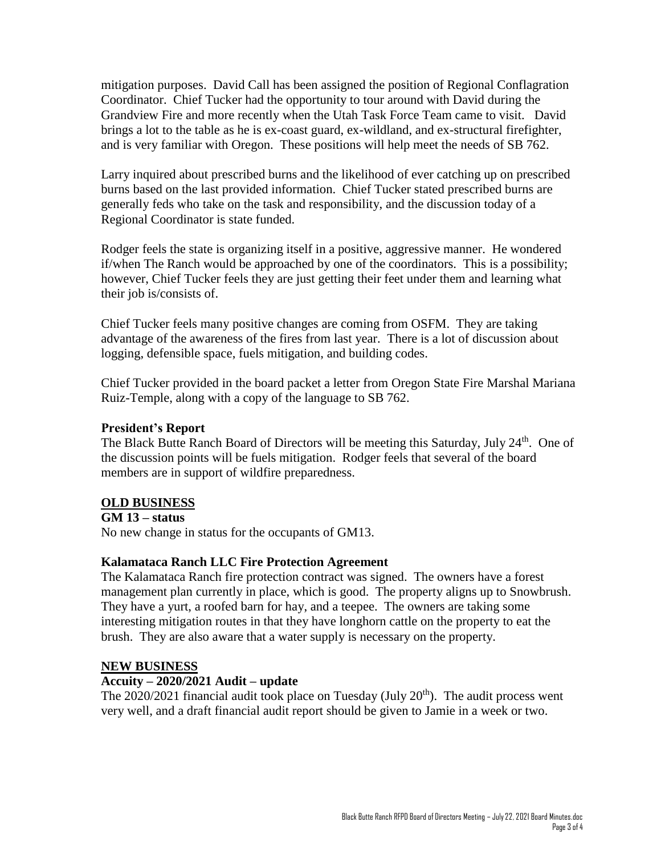mitigation purposes. David Call has been assigned the position of Regional Conflagration Coordinator. Chief Tucker had the opportunity to tour around with David during the Grandview Fire and more recently when the Utah Task Force Team came to visit. David brings a lot to the table as he is ex-coast guard, ex-wildland, and ex-structural firefighter, and is very familiar with Oregon. These positions will help meet the needs of SB 762.

Larry inquired about prescribed burns and the likelihood of ever catching up on prescribed burns based on the last provided information. Chief Tucker stated prescribed burns are generally feds who take on the task and responsibility, and the discussion today of a Regional Coordinator is state funded.

Rodger feels the state is organizing itself in a positive, aggressive manner. He wondered if/when The Ranch would be approached by one of the coordinators. This is a possibility; however, Chief Tucker feels they are just getting their feet under them and learning what their job is/consists of.

Chief Tucker feels many positive changes are coming from OSFM. They are taking advantage of the awareness of the fires from last year. There is a lot of discussion about logging, defensible space, fuels mitigation, and building codes.

Chief Tucker provided in the board packet a letter from Oregon State Fire Marshal Mariana Ruiz-Temple, along with a copy of the language to SB 762.

#### **President's Report**

The Black Butte Ranch Board of Directors will be meeting this Saturday, July 24<sup>th</sup>. One of the discussion points will be fuels mitigation. Rodger feels that several of the board members are in support of wildfire preparedness.

# **OLD BUSINESS**

**GM 13 – status**

No new change in status for the occupants of GM13.

# **Kalamataca Ranch LLC Fire Protection Agreement**

The Kalamataca Ranch fire protection contract was signed. The owners have a forest management plan currently in place, which is good. The property aligns up to Snowbrush. They have a yurt, a roofed barn for hay, and a teepee. The owners are taking some interesting mitigation routes in that they have longhorn cattle on the property to eat the brush. They are also aware that a water supply is necessary on the property.

#### **NEW BUSINESS**

#### **Accuity – 2020/2021 Audit – update**

The  $2020/2021$  financial audit took place on Tuesday (July  $20<sup>th</sup>$ ). The audit process went very well, and a draft financial audit report should be given to Jamie in a week or two.